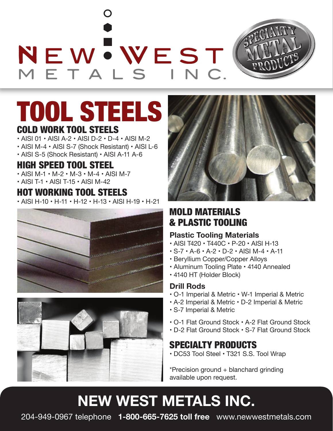NEWWEST



## TOOL STEELS COLD WORK TOOL STEELS

- AISI 01 AISI A-2 AISI D-2 D-4 AISI M-2
- AISI M-4 AISI S-7 (Shock Resistant) AISI L-6
- AISI S-5 (Shock Resistant) AISI A-11 A-6

## HIGH SPEED TOOL STEEL

- AISI M-1 M-2 M-3 M-4 AISI M-7
- AISI T-1 AISI T-15 AISI M-42

### HOT WORKING TOOL STEELS

• AISI H-10 • H-11 • H-12 • H-13 • AISI H-19 • H-21







## MOLD MATERIALS & PLASTIC TOOLING

#### **Plastic Tooling Materials**

- AISI T420 T440C P-20 AISI H-13
- S-7 A-6 A-2 D-2 AISI M-4 A-11
- Beryllium Copper/Copper Alloys
- Aluminum Tooling Plate 4140 Annealed
- 4140 HT (Holder Block)

#### **Drill Rods**

- O-1 Imperial & Metric W-1 Imperial & Metric
- A-2 Imperial & Metric D-2 Imperial & Metric
- S-7 Imperial & Metric
- O-1 Flat Ground Stock A-2 Flat Ground Stock
- D-2 Flat Ground Stock S-7 Flat Ground Stock

### SPECIALTY PRODUCTS

• DC53 Tool Steel • T321 S.S. Tool Wrap

\*Precision ground + blanchard grinding available upon request.

## **NEW WEST METALS INC.**

204-949-0967 telephone **1-800-665-7625 toll free** www.newwestmetals.com